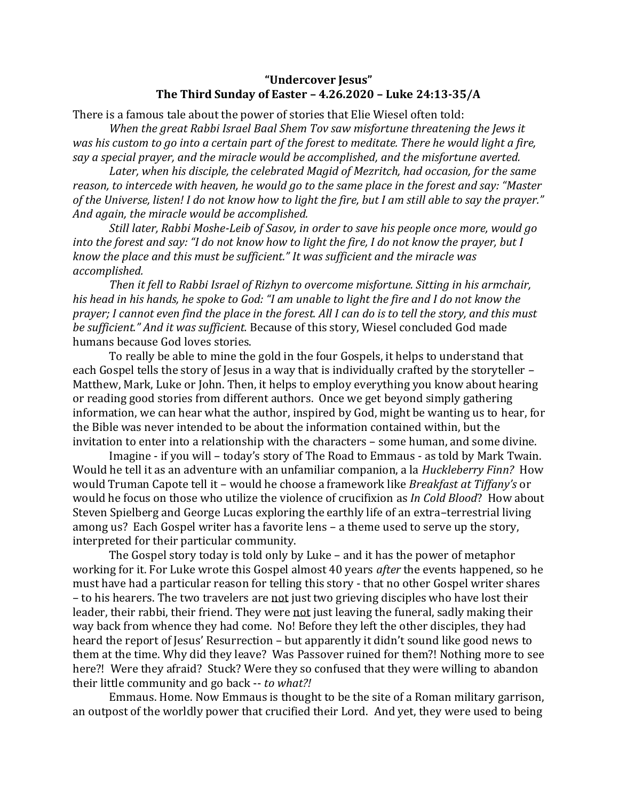## **"Undercover Jesus" The Third Sunday of Easter – 4.26.2020 – Luke 24:13-35/A**

There is a famous tale about the power of stories that Elie Wiesel often told:

*When the great Rabbi Israel Baal Shem Tov saw misfortune threatening the Jews it was his custom to go into a certain part of the forest to meditate. There he would light a fire, say a special prayer, and the miracle would be accomplished, and the misfortune averted.*

*Later, when his disciple, the celebrated Magid of Mezritch, had occasion, for the same reason, to intercede with heaven, he would go to the same place in the forest and say: "Master of the Universe, listen! I do not know how to light the fire, but I am still able to say the prayer." And again, the miracle would be accomplished.*

*Still later, Rabbi Moshe-Leib of Sasov, in order to save his people once more, would go into the forest and say: "I do not know how to light the fire, I do not know the prayer, but I know the place and this must be sufficient." It was sufficient and the miracle was accomplished.*

*Then it fell to Rabbi Israel of Rizhyn to overcome misfortune. Sitting in his armchair, his head in his hands, he spoke to God: "I am unable to light the fire and I do not know the prayer; I cannot even find the place in the forest. All I can do is to tell the story, and this must be sufficient." And it was sufficient.* Because of this story, Wiesel concluded God made humans because God loves stories.

To really be able to mine the gold in the four Gospels, it helps to understand that each Gospel tells the story of Jesus in a way that is individually crafted by the storyteller – Matthew, Mark, Luke or John. Then, it helps to employ everything you know about hearing or reading good stories from different authors. Once we get beyond simply gathering information, we can hear what the author, inspired by God, might be wanting us to hear, for the Bible was never intended to be about the information contained within, but the invitation to enter into a relationship with the characters – some human, and some divine.

Imagine - if you will – today's story of The Road to Emmaus - as told by Mark Twain. Would he tell it as an adventure with an unfamiliar companion, a la *Huckleberry Finn?* How would Truman Capote tell it – would he choose a framework like *Breakfast at Tiffany's* or would he focus on those who utilize the violence of crucifixion as *In Cold Blood*? How about Steven Spielberg and George Lucas exploring the earthly life of an extra–terrestrial living among us? Each Gospel writer has a favorite lens – a theme used to serve up the story, interpreted for their particular community.

The Gospel story today is told only by Luke – and it has the power of metaphor working for it. For Luke wrote this Gospel almost 40 years *after* the events happened, so he must have had a particular reason for telling this story - that no other Gospel writer shares – to his hearers. The two travelers are not just two grieving disciples who have lost their leader, their rabbi, their friend. They were not just leaving the funeral, sadly making their way back from whence they had come. No! Before they left the other disciples, they had heard the report of Jesus' Resurrection – but apparently it didn't sound like good news to them at the time. Why did they leave? Was Passover ruined for them?! Nothing more to see here?! Were they afraid? Stuck? Were they so confused that they were willing to abandon their little community and go back -- *to what?!*

Emmaus. Home. Now Emmaus is thought to be the site of a Roman military garrison, an outpost of the worldly power that crucified their Lord. And yet, they were used to being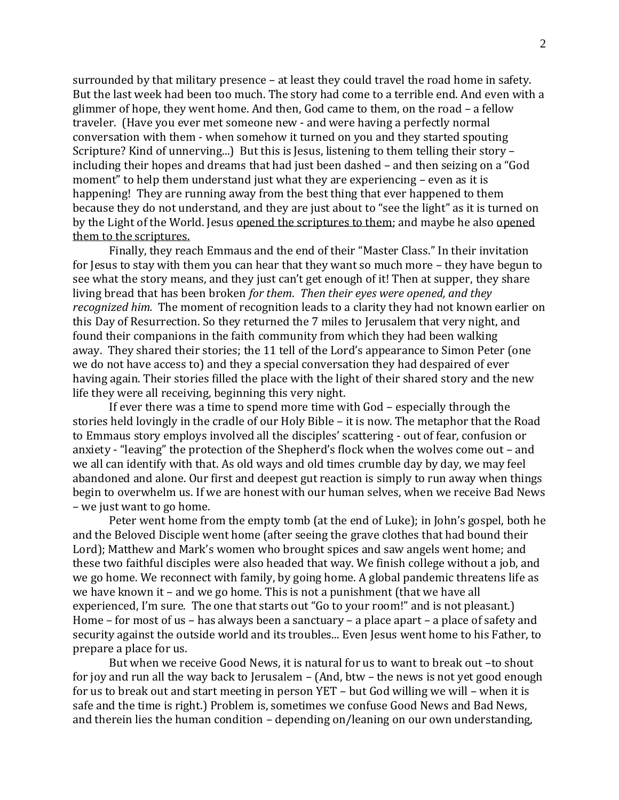surrounded by that military presence – at least they could travel the road home in safety. But the last week had been too much. The story had come to a terrible end. And even with a glimmer of hope, they went home. And then, God came to them, on the road – a fellow traveler. (Have you ever met someone new - and were having a perfectly normal conversation with them - when somehow it turned on you and they started spouting Scripture? Kind of unnerving...) But this is Jesus, listening to them telling their story – including their hopes and dreams that had just been dashed – and then seizing on a "God moment" to help them understand just what they are experiencing – even as it is happening! They are running away from the best thing that ever happened to them because they do not understand, and they are just about to "see the light" as it is turned on by the Light of the World. Jesus opened the scriptures to them; and maybe he also opened them to the scriptures.

Finally, they reach Emmaus and the end of their "Master Class." In their invitation for Jesus to stay with them you can hear that they want so much more – they have begun to see what the story means, and they just can't get enough of it! Then at supper, they share living bread that has been broken *for them*. *Then their eyes were opened, and they recognized him.* The moment of recognition leads to a clarity they had not known earlier on this Day of Resurrection. So they returned the 7 miles to Jerusalem that very night, and found their companions in the faith community from which they had been walking away. They shared their stories; the 11 tell of the Lord's appearance to Simon Peter (one we do not have access to) and they a special conversation they had despaired of ever having again. Their stories filled the place with the light of their shared story and the new life they were all receiving, beginning this very night.

If ever there was a time to spend more time with God – especially through the stories held lovingly in the cradle of our Holy Bible – it is now. The metaphor that the Road to Emmaus story employs involved all the disciples' scattering - out of fear, confusion or anxiety - "leaving" the protection of the Shepherd's flock when the wolves come out – and we all can identify with that. As old ways and old times crumble day by day, we may feel abandoned and alone. Our first and deepest gut reaction is simply to run away when things begin to overwhelm us. If we are honest with our human selves, when we receive Bad News – we just want to go home.

Peter went home from the empty tomb (at the end of Luke); in John's gospel, both he and the Beloved Disciple went home (after seeing the grave clothes that had bound their Lord); Matthew and Mark's women who brought spices and saw angels went home; and these two faithful disciples were also headed that way. We finish college without a job, and we go home. We reconnect with family, by going home. A global pandemic threatens life as we have known it – and we go home. This is not a punishment (that we have all experienced, I'm sure. The one that starts out "Go to your room!" and is not pleasant.) Home – for most of us – has always been a sanctuary – a place apart – a place of safety and security against the outside world and its troubles... Even Jesus went home to his Father, to prepare a place for us.

But when we receive Good News, it is natural for us to want to break out –to shout for joy and run all the way back to Jerusalem – (And, btw – the news is not yet good enough for us to break out and start meeting in person YET – but God willing we will – when it is safe and the time is right.) Problem is, sometimes we confuse Good News and Bad News, and therein lies the human condition – depending on/leaning on our own understanding,